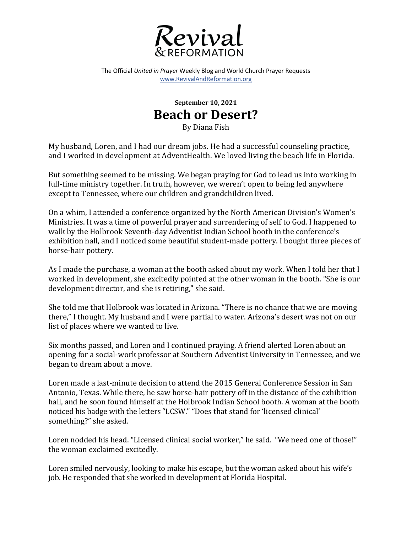

The Official *United in Prayer* Weekly Blog and World Church Prayer Requests www.RevivalAndReformation.org

## **September 10, 2021 Beach or Desert?**

By Diana Fish

My husband, Loren, and I had our dream jobs. He had a successful counseling practice, and I worked in development at AdventHealth. We loved living the beach life in Florida.

But something seemed to be missing. We began praying for God to lead us into working in full-time ministry together. In truth, however, we weren't open to being led anywhere except to Tennessee, where our children and grandchildren lived.

On a whim, I attended a conference organized by the North American Division's Women's Ministries. It was a time of powerful prayer and surrendering of self to God. I happened to walk by the Holbrook Seventh-day Adventist Indian School booth in the conference's exhibition hall, and I noticed some beautiful student-made pottery. I bought three pieces of horse-hair pottery.

As I made the purchase, a woman at the booth asked about my work. When I told her that I worked in development, she excitedly pointed at the other woman in the booth. "She is our development director, and she is retiring," she said.

She told me that Holbrook was located in Arizona. "There is no chance that we are moving there," I thought. My husband and I were partial to water. Arizona's desert was not on our list of places where we wanted to live.

Six months passed, and Loren and I continued praying. A friend alerted Loren about an opening for a social-work professor at Southern Adventist University in Tennessee, and we began to dream about a move.

Loren made a last-minute decision to attend the 2015 General Conference Session in San Antonio, Texas. While there, he saw horse-hair pottery off in the distance of the exhibition hall, and he soon found himself at the Holbrook Indian School booth. A woman at the booth noticed his badge with the letters "LCSW." "Does that stand for 'licensed clinical' something?" she asked.

Loren nodded his head. "Licensed clinical social worker," he said. "We need one of those!" the woman exclaimed excitedly.

Loren smiled nervously, looking to make his escape, but the woman asked about his wife's job. He responded that she worked in development at Florida Hospital.